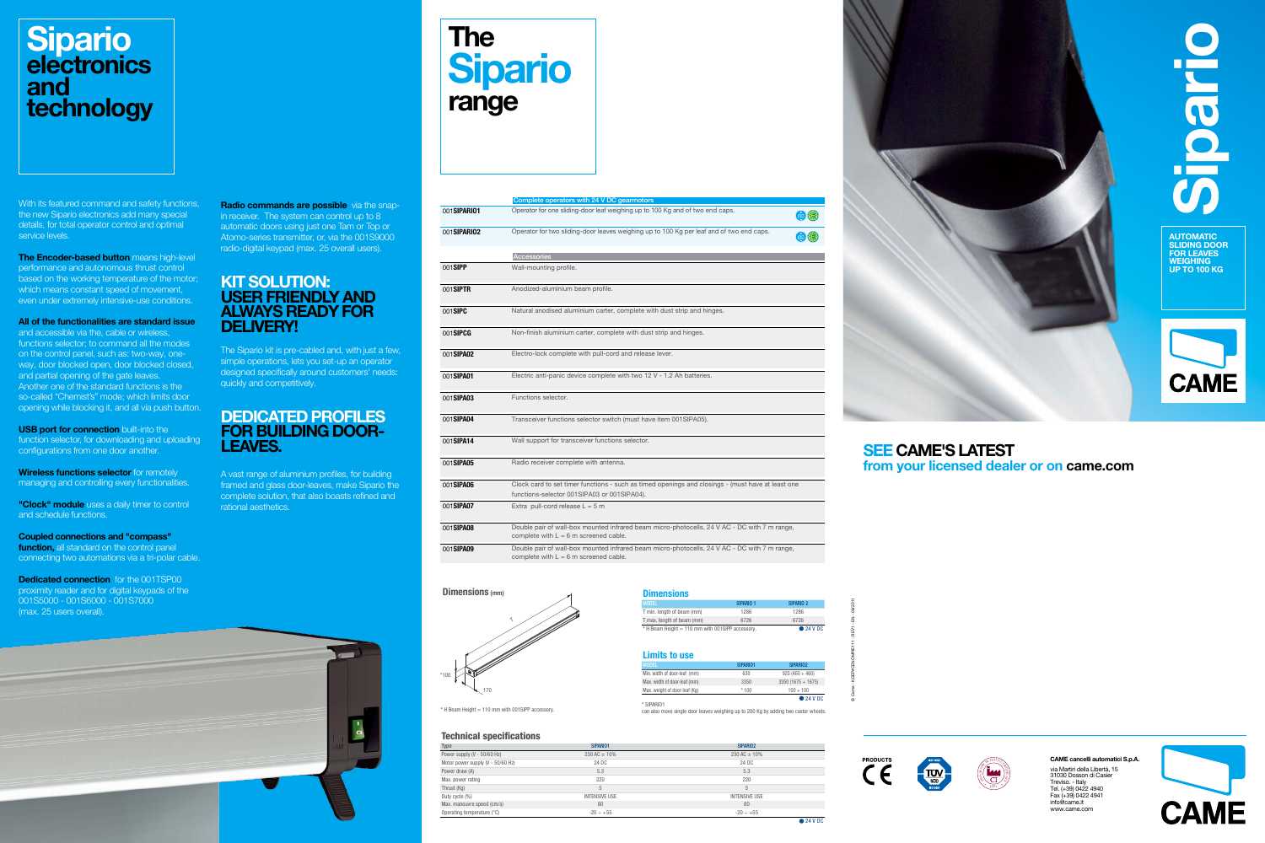

AUTOMATIC SLIDING DOOR FOR LEAVES **WEIGHING** UP TO 100 KG





via Martiri della Libertà, 15 31030 Dosson di Casier

**CAME** 

### **Sipario electronics** and technology

Treviso. - Italy Tel. (+39) 0422 4940 Fax (+39) 0422 4941 info@came.it www.came.com





#### Technical specifications Type SIPARIO2 SIPARIO2 SIPARIO2 SIPARIO2 SIPARIO2 SIPARIO2 SIPARIO2 SIPARIO2 SIPARIO2 SIPARIO2 Power supply (V - 50/60 Hz) 230 AC  $\pm$  10% Motor power supply (V - 50/60 Hz) 24 DC Power draw (A)  $5.3$   $5.3$ Max. power rating 220  $\,$  Thrust (Kg)  $\,$  5  $\,$  5  $\,$  5  $\,$  5  $\,$  5  $\,$  5  $\,$  5  $\,$  5  $\,$  5  $\,$  5  $\,$  5  $\,$  5  $\,$  5  $\,$  5  $\,$  5  $\,$  5  $\,$  5  $\,$  5  $\,$  5  $\,$  5  $\,$  5  $\,$  5  $\,$  5  $\,$  5  $\,$  5  $\,$  5  $\,$  5  $\,$  5  $\,$  5 Duty cycle (%) INTENSIVE USE INTENSIVE USE Max. manouvre speed (cm/s) 80 Operating temperature  $(^{\circ}C)$  -20 ÷ +55



O with 7 m range,

 $\overline{OC}$  with 7 m range,

| SIPARIO <sub>2</sub> |
|----------------------|
| 1286                 |
| 6726                 |
| $\bullet$ 24 V DC    |
|                      |

Radio commands are possible via the snapin receiver. The system can control up to 8 automatic doors using just one Tam or Top or Atomo-series transmitter, or, via the 001S9000 radio-digital keypad (max. 25 overall users).

### **KIT SOLUTION:** USER FRIENDLY AND ALWAYS READY FOR DELIVERY!

|                     | Complete operators with 24 V DC gearmotors                                                                                             |
|---------------------|----------------------------------------------------------------------------------------------------------------------------------------|
| 001 <b>SIPARIO1</b> | Operator for one sliding-door leaf weighing up to 100 Kg and of two end caps.                                                          |
| 001 <b>SIPARIO2</b> | Operator for two sliding-door leaves weighing up to 100 Kg per leaf and of two end caps.                                               |
|                     | Accessories                                                                                                                            |
| 001SIPP             | Wall-mounting profile.                                                                                                                 |
| 001 <b>SIPTR</b>    | Anodized-aluminium beam profile.                                                                                                       |
| 001 <b>SIPC</b>     | Natural anodised aluminium carter, complete with dust strip and hinges.                                                                |
| 001SIPCG            | Non-finish aluminium carter, complete with dust strip and hinges.                                                                      |
| 001SIPA02           | Electro-lock complete with pull-cord and release lever.                                                                                |
| 001 <b>SIPA01</b>   | Electric anti-panic device complete with two 12 V - 1.2 Ah batteries.                                                                  |
| 001 <b>SIPA03</b>   | Functions selector.                                                                                                                    |
| 001SIPA04           | Transceiver functions selector switch (must have item 001SIPA05).                                                                      |
| 001SIPA14           | Wall support for transceiver functions selector.                                                                                       |
| 001 <b>SIPA05</b>   | Radio receiver complete with antenna.                                                                                                  |
| 001 <b>SIPA06</b>   | Clock card to set timer functions - such as timed openings and closings - (must have at<br>functions-selector 001SIPA03 or 001SIPA04). |
| 001 <b>SIPA07</b>   | Extra pull-cord release $L = 5$ m                                                                                                      |
| 001SIPA08           | Double pair of wall-box mounted infrared beam micro-photocells, 24 V AC - DC with 7 n<br>complete with $L = 6$ m screened cable.       |
| 001 <b>SIPA09</b>   | Double pair of wall-box mounted infrared beam micro-photocells, 24 V AC - DC with 7 n<br>complete with $L = 6$ m screened cable.       |

The Encoder-based button means high-level performance and autonomous thrust control based on the working temperature of the motor; which means constant speed of movement, even under extremely intensive-use conditions.

| <b>ARIO2</b>    |          |
|-----------------|----------|
| $C = 10%$       |          |
| 4DC             |          |
| 5.3             |          |
| 220             |          |
| 5               |          |
| <b>SIVE USE</b> |          |
| 80              |          |
| $\div$ +55      |          |
|                 | • 24 VDC |



|  |  | <b>Limits to use</b> |  |
|--|--|----------------------|--|
|  |  |                      |  |

| <b>MODEL</b>                  | SIPARIO1 | SIPARIO <sub>2</sub> |
|-------------------------------|----------|----------------------|
| Min. width of door-leaf (mm)  | 630      | $920(460+460)$       |
| Max. width of door-leaf (mm)  | 3350     | $3350(1675 + 1675)$  |
| Max. weight of door-leaf (Kg) | $*100$   | $100 + 100$          |
|                               |          | $\bullet$ 24 V DC    |

**USB port for connection** built-into the function selector, for downloading and uploading configurations from one door another.

| <b>NUDEL</b>                  | <b>SIPARIU I</b> | <b>SIPARIUZ</b>   |
|-------------------------------|------------------|-------------------|
| Min. width of door-leaf (mm)  | 630              | $920(460+460)$    |
| Max. width of door-leaf (mm)  | 3350             | $3350(1675+1675)$ |
| Max. weight of door-leaf (Kg) | $*100$           | $100 + 100$       |
|                               |                  | - - - - - -       |

**● 24 V DC**<br>\* SIPARIO1

**Wireless functions selector** for remotely managing and controlling every functionalities.

"Clock" module uses a daily timer to control and schedule functions.

| <b>Dimensions</b>          |                      |                      |
|----------------------------|----------------------|----------------------|
| <b>I MODEL</b>             | SIPARIO <sub>1</sub> | SIPARIO <sub>2</sub> |
| T min. length of beam (mm) | 1286                 | 1286                 |
| T max. length of beam (mm) | 6726                 | 6726                 |

T max. length of beam (mm) 6726 6726  $*$  H Beam Height = 110 mm with 001SIPP accessory.

**Dedicated connection** for the 001TSP00 proximity reader and for digital keypads of the 001S5000 - 001S6000 - 001S7000 (max. 25 users overall).

### SEE CAME'S LATEST from your licensed dealer or on came.com

© Came - KDEP#CENOMPIE111 - REV1 - EN - 08/2011



The Sipario kit is pre-cabled and, with just a few, simple operations, lets you set-up an operator designed specifically around customers' needs: quickly and competitively.

### DEDICATED PROFILES FOR BUILDING DOOR-LEAVES.

A vast range of aluminium profiles, for building framed and glass door-leaves, make Sipario the complete solution, that also boasts refined and rational aesthetics.

With its featured command and safety functions, the new Sipario electronics add many special details, for total operator control and optimal service levels.

All of the functionalities are standard issue and accessible via the, cable or wireless, functions selector; to command all the modes on the control panel, such as: two-way, oneway, door blocked open, door blocked closed, and partial opening of the gate leaves. Another one of the standard functions is the so-called "Chemist's" mode; which limits door opening while blocking it, and all via push button.

Coupled connections and "compass" function, all standard on the control panel connecting two automations via a tri-polar cable.



can also move single door leaves weighing up to 200 Kg by adding two castor wheels.

### Dimensions (mm)